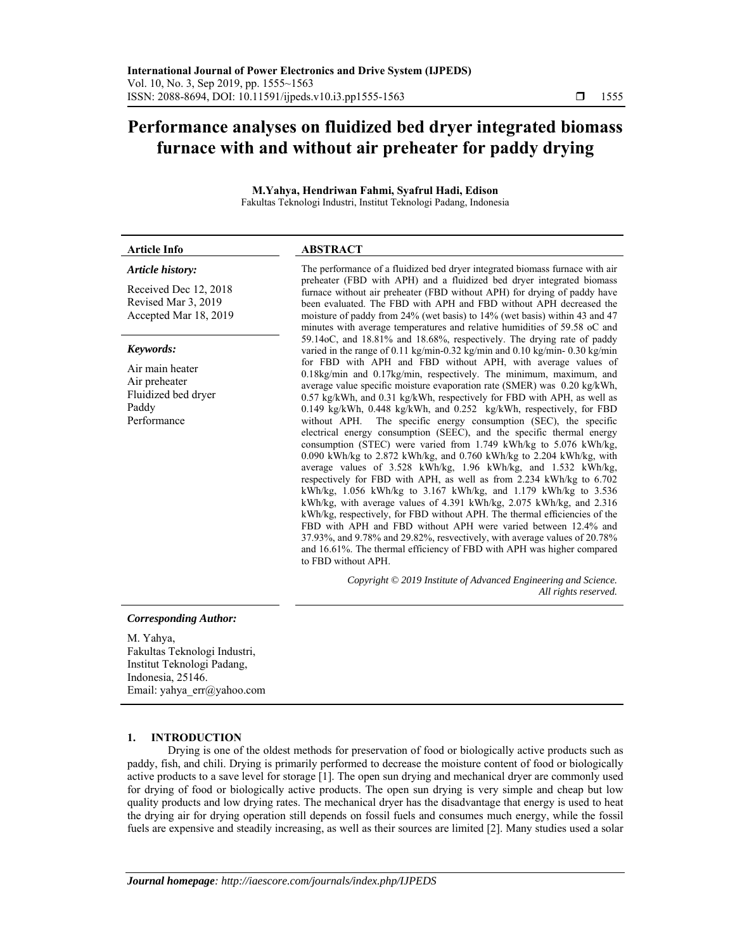# **Performance analyses on fluidized bed dryer integrated biomass furnace with and without air preheater for paddy drying**

**M.Yahya, Hendriwan Fahmi, Syafrul Hadi, Edison**  Fakultas Teknologi Industri, Institut Teknologi Padang, Indonesia

| <b>Article Info</b>                                                                          | <b>ABSTRACT</b>                                                                                                                                                                                                                                                                                                                                                                                                                                                                                                                                                                                                                                                                                                                                                                                                                                                                                                                                                                                                                                                                                                                                                                                                                                                                                                                                                                                                                                                                                                                                                                                                                                                                                                                                                                                                                                                                                                                              |
|----------------------------------------------------------------------------------------------|----------------------------------------------------------------------------------------------------------------------------------------------------------------------------------------------------------------------------------------------------------------------------------------------------------------------------------------------------------------------------------------------------------------------------------------------------------------------------------------------------------------------------------------------------------------------------------------------------------------------------------------------------------------------------------------------------------------------------------------------------------------------------------------------------------------------------------------------------------------------------------------------------------------------------------------------------------------------------------------------------------------------------------------------------------------------------------------------------------------------------------------------------------------------------------------------------------------------------------------------------------------------------------------------------------------------------------------------------------------------------------------------------------------------------------------------------------------------------------------------------------------------------------------------------------------------------------------------------------------------------------------------------------------------------------------------------------------------------------------------------------------------------------------------------------------------------------------------------------------------------------------------------------------------------------------------|
| Article history:                                                                             | The performance of a fluidized bed dryer integrated biomass furnace with air<br>preheater (FBD with APH) and a fluidized bed dryer integrated biomass<br>furnace without air preheater (FBD without APH) for drying of paddy have<br>been evaluated. The FBD with APH and FBD without APH decreased the<br>moisture of paddy from 24% (wet basis) to 14% (wet basis) within 43 and 47<br>minutes with average temperatures and relative humidities of 59.58 oC and<br>59.14oC, and 18.81% and 18.68%, respectively. The drying rate of paddy<br>varied in the range of 0.11 kg/min-0.32 kg/min and 0.10 kg/min-0.30 kg/min<br>for FBD with APH and FBD without APH, with average values of<br>$0.18\text{kg/min}$ and $0.17\text{kg/min}$ , respectively. The minimum, maximum, and<br>average value specific moisture evaporation rate (SMER) was 0.20 kg/kWh,<br>0.57 kg/kWh, and 0.31 kg/kWh, respectively for FBD with APH, as well as<br>0.149 kg/kWh, 0.448 kg/kWh, and 0.252 kg/kWh, respectively, for FBD<br>without APH. The specific energy consumption (SEC), the specific<br>electrical energy consumption (SEEC), and the specific thermal energy<br>consumption (STEC) were varied from 1.749 kWh/kg to 5.076 kWh/kg,<br>0.090 kWh/kg to 2.872 kWh/kg, and 0.760 kWh/kg to 2.204 kWh/kg, with<br>average values of 3.528 kWh/kg, 1.96 kWh/kg, and 1.532 kWh/kg,<br>respectively for FBD with APH, as well as from 2.234 kWh/kg to 6.702<br>kWh/kg, 1.056 kWh/kg to 3.167 kWh/kg, and 1.179 kWh/kg to 3.536<br>kWh/kg, with average values of 4.391 kWh/kg, 2.075 kWh/kg, and 2.316<br>kWh/kg, respectively, for FBD without APH. The thermal efficiencies of the<br>FBD with APH and FBD without APH were varied between 12.4% and<br>$37.93\%$ , and $9.78\%$ and $29.82\%$ , resvectively, with average values of $20.78\%$<br>and 16.61%. The thermal efficiency of FBD with APH was higher compared<br>to FBD without APH. |
| Received Dec 12, 2018<br>Revised Mar 3, 2019<br>Accepted Mar 18, 2019                        |                                                                                                                                                                                                                                                                                                                                                                                                                                                                                                                                                                                                                                                                                                                                                                                                                                                                                                                                                                                                                                                                                                                                                                                                                                                                                                                                                                                                                                                                                                                                                                                                                                                                                                                                                                                                                                                                                                                                              |
| Keywords:<br>Air main heater<br>Air preheater<br>Fluidized bed dryer<br>Paddy<br>Performance |                                                                                                                                                                                                                                                                                                                                                                                                                                                                                                                                                                                                                                                                                                                                                                                                                                                                                                                                                                                                                                                                                                                                                                                                                                                                                                                                                                                                                                                                                                                                                                                                                                                                                                                                                                                                                                                                                                                                              |
|                                                                                              | Copyright © 2019 Institute of Advanced Engineering and Science.<br>All rights reserved.                                                                                                                                                                                                                                                                                                                                                                                                                                                                                                                                                                                                                                                                                                                                                                                                                                                                                                                                                                                                                                                                                                                                                                                                                                                                                                                                                                                                                                                                                                                                                                                                                                                                                                                                                                                                                                                      |

#### *Corresponding Author:*

M. Yahya, Fakultas Teknologi Industri, Institut Teknologi Padang, Indonesia, 25146. Email: yahya\_err@yahoo.com

## **1. INTRODUCTION**

Drying is one of the oldest methods for preservation of food or biologically active products such as paddy, fish, and chili. Drying is primarily performed to decrease the moisture content of food or biologically active products to a save level for storage [1]. The open sun drying and mechanical dryer are commonly used for drying of food or biologically active products. The open sun drying is very simple and cheap but low quality products and low drying rates. The mechanical dryer has the disadvantage that energy is used to heat the drying air for drying operation still depends on fossil fuels and consumes much energy, while the fossil fuels are expensive and steadily increasing, as well as their sources are limited [2]. Many studies used a solar

ֺ֝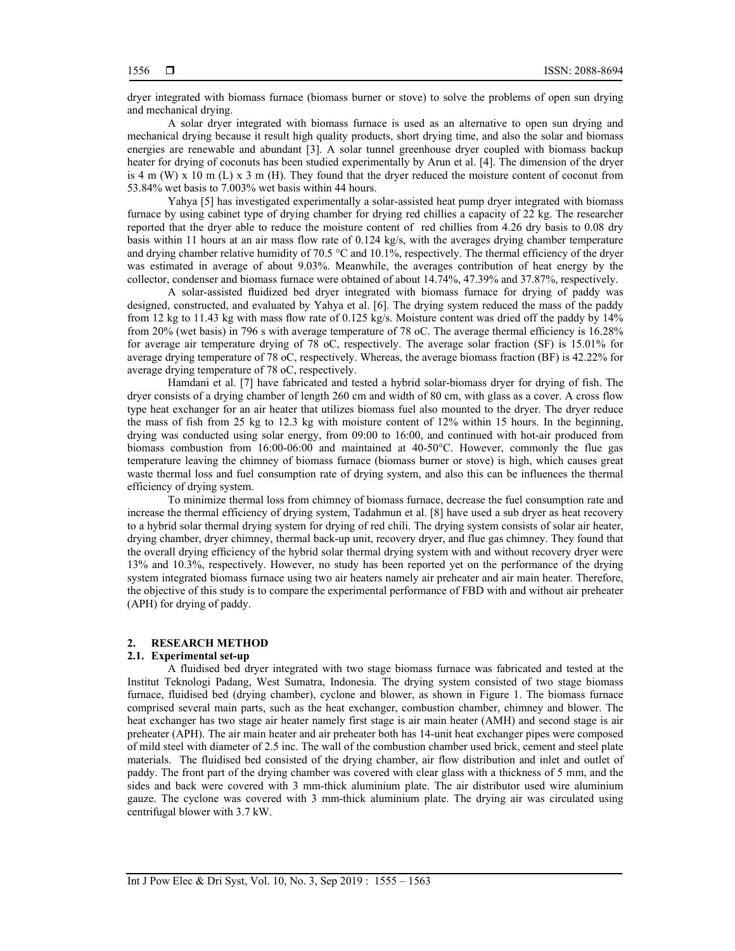dryer integrated with biomass furnace (biomass burner or stove) to solve the problems of open sun drying and mechanical drying.

A solar dryer integrated with biomass furnace is used as an alternative to open sun drying and mechanical drying because it result high quality products, short drying time, and also the solar and biomass energies are renewable and abundant [3]. A solar tunnel greenhouse dryer coupled with biomass backup heater for drying of coconuts has been studied experimentally by Arun et al. [4]. The dimension of the dryer is 4 m (W) x 10 m (L) x 3 m (H). They found that the dryer reduced the moisture content of coconut from 53.84% wet basis to 7.003% wet basis within 44 hours.

Yahya [5] has investigated experimentally a solar-assisted heat pump dryer integrated with biomass furnace by using cabinet type of drying chamber for drying red chillies a capacity of 22 kg. The researcher reported that the dryer able to reduce the moisture content of red chillies from 4.26 dry basis to 0.08 dry basis within 11 hours at an air mass flow rate of 0.124 kg/s, with the averages drying chamber temperature and drying chamber relative humidity of 70.5 °C and 10.1%, respectively. The thermal efficiency of the dryer was estimated in average of about 9.03%. Meanwhile, the averages contribution of heat energy by the collector, condenser and biomass furnace were obtained of about 14.74%, 47.39% and 37.87%, respectively.

A solar-assisted fluidized bed dryer integrated with biomass furnace for drying of paddy was designed, constructed, and evaluated by Yahya et al. [6]. The drying system reduced the mass of the paddy from 12 kg to 11.43 kg with mass flow rate of 0.125 kg/s. Moisture content was dried off the paddy by 14% from 20% (wet basis) in 796 s with average temperature of 78 oC. The average thermal efficiency is 16.28% for average air temperature drying of 78 oC, respectively. The average solar fraction (SF) is 15.01% for average drying temperature of 78 oC, respectively. Whereas, the average biomass fraction (BF) is 42.22% for average drying temperature of 78 oC, respectively.

Hamdani et al. [7] have fabricated and tested a hybrid solar-biomass dryer for drying of fish. The dryer consists of a drying chamber of length 260 cm and width of 80 cm, with glass as a cover. A cross flow type heat exchanger for an air heater that utilizes biomass fuel also mounted to the dryer. The dryer reduce the mass of fish from 25 kg to 12.3 kg with moisture content of 12% within 15 hours. In the beginning, drying was conducted using solar energy, from 09:00 to 16:00, and continued with hot-air produced from biomass combustion from 16:00-06:00 and maintained at 40-50°C. However, commonly the flue gas temperature leaving the chimney of biomass furnace (biomass burner or stove) is high, which causes great waste thermal loss and fuel consumption rate of drying system, and also this can be influences the thermal efficiency of drying system.

To minimize thermal loss from chimney of biomass furnace, decrease the fuel consumption rate and increase the thermal efficiency of drying system, Tadahmun et al. [8] have used a sub dryer as heat recovery to a hybrid solar thermal drying system for drying of red chili. The drying system consists of solar air heater, drying chamber, dryer chimney, thermal back-up unit, recovery dryer, and flue gas chimney. They found that the overall drying efficiency of the hybrid solar thermal drying system with and without recovery dryer were 13% and 10.3%, respectively. However, no study has been reported yet on the performance of the drying system integrated biomass furnace using two air heaters namely air preheater and air main heater. Therefore, the objective of this study is to compare the experimental performance of FBD with and without air preheater (APH) for drying of paddy.

#### **2. RESEARCH METHOD**

#### **2.1. Experimental set-up**

A fluidised bed dryer integrated with two stage biomass furnace was fabricated and tested at the Institut Teknologi Padang, West Sumatra, Indonesia. The drying system consisted of two stage biomass furnace, fluidised bed (drying chamber), cyclone and blower, as shown in Figure 1. The biomass furnace comprised several main parts, such as the heat exchanger, combustion chamber, chimney and blower. The heat exchanger has two stage air heater namely first stage is air main heater (AMH) and second stage is air preheater (APH). The air main heater and air preheater both has 14-unit heat exchanger pipes were composed of mild steel with diameter of 2.5 inc. The wall of the combustion chamber used brick, cement and steel plate materials. The fluidised bed consisted of the drying chamber, air flow distribution and inlet and outlet of paddy. The front part of the drying chamber was covered with clear glass with a thickness of 5 mm, and the sides and back were covered with 3 mm-thick aluminium plate. The air distributor used wire aluminium gauze. The cyclone was covered with 3 mm-thick aluminium plate. The drying air was circulated using centrifugal blower with 3.7 kW.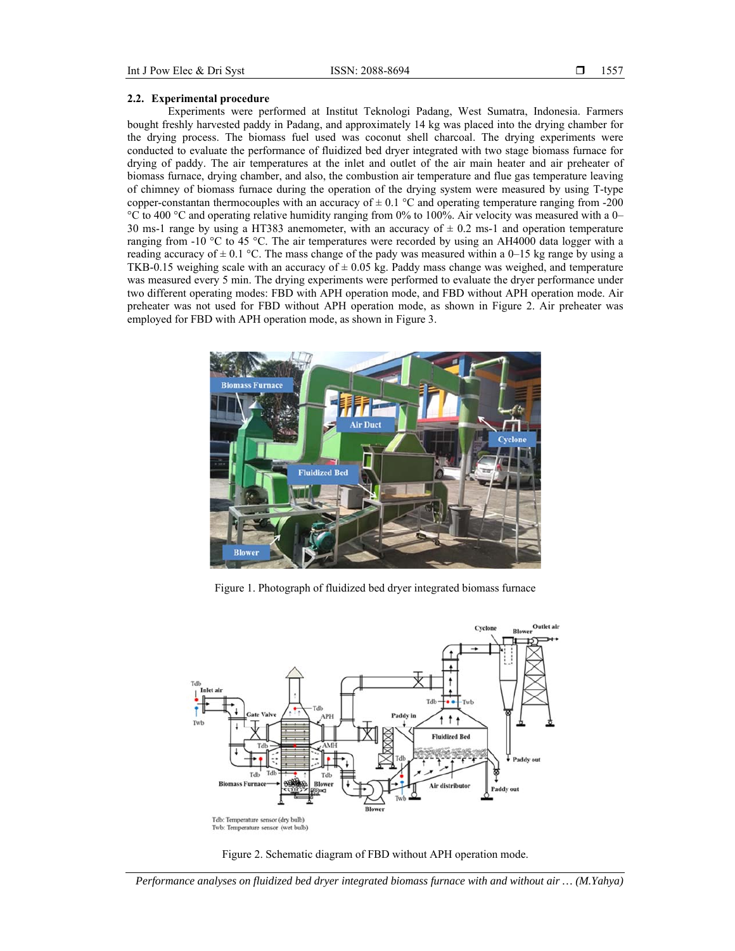## **2.2. Experimental procedure**

Experiments were performed at Institut Teknologi Padang, West Sumatra, Indonesia. Farmers bought freshly harvested paddy in Padang, and approximately 14 kg was placed into the drying chamber for the drying process. The biomass fuel used was coconut shell charcoal. The drying experiments were conducted to evaluate the performance of fluidized bed dryer integrated with two stage biomass furnace for drying of paddy. The air temperatures at the inlet and outlet of the air main heater and air preheater of biomass furnace, drying chamber, and also, the combustion air temperature and flue gas temperature leaving of chimney of biomass furnace during the operation of the drying system were measured by using T-type copper-constantan thermocouples with an accuracy of  $\pm$  0.1 °C and operating temperature ranging from -200 °C to 400 °C and operating relative humidity ranging from 0% to 100%. Air velocity was measured with a 0– 30 ms-1 range by using a HT383 anemometer, with an accuracy of  $\pm$  0.2 ms-1 and operation temperature ranging from -10 °C to 45 °C. The air temperatures were recorded by using an AH4000 data logger with a reading accuracy of  $\pm$  0.1 °C. The mass change of the pady was measured within a 0–15 kg range by using a TKB-0.15 weighing scale with an accuracy of  $\pm$  0.05 kg. Paddy mass change was weighed, and temperature was measured every 5 min. The drying experiments were performed to evaluate the dryer performance under two different operating modes: FBD with APH operation mode, and FBD without APH operation mode. Air preheater was not used for FBD without APH operation mode, as shown in Figure 2. Air preheater was employed for FBD with APH operation mode, as shown in Figure 3.



Figure 1. Photograph of fluidized bed dryer integrated biomass furnace





*Performance analyses on fluidized bed dryer integrated biomass furnace with and without air … (M.Yahya)*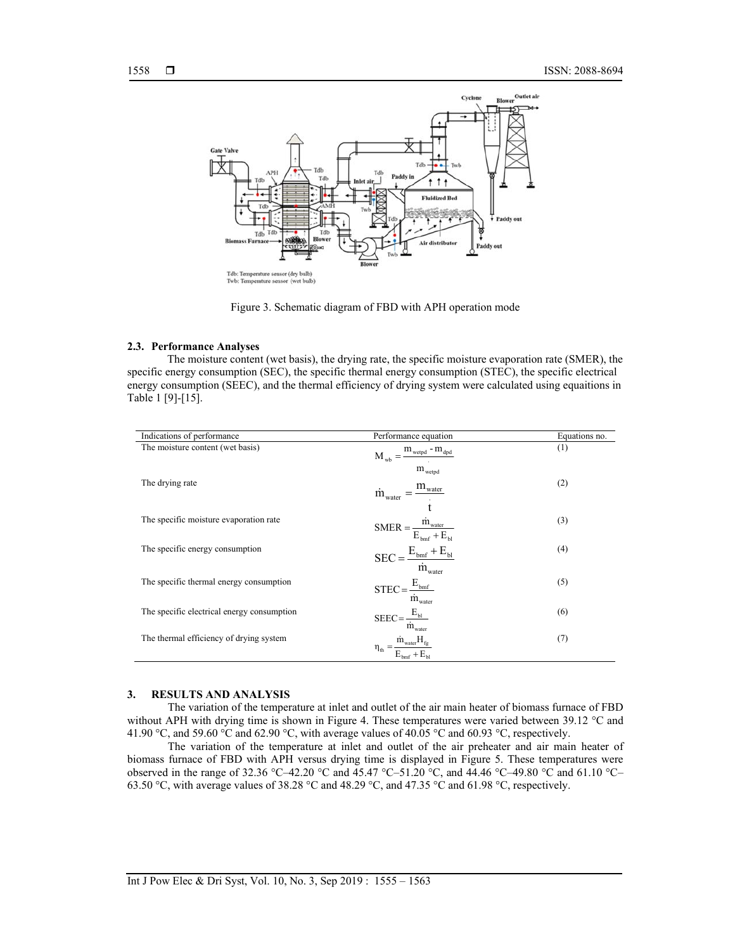

Figure 3. Schematic diagram of FBD with APH operation mode

#### **2.3. Performance Analyses**

The moisture content (wet basis), the drying rate, the specific moisture evaporation rate (SMER), the specific energy consumption (SEC), the specific thermal energy consumption (STEC), the specific electrical energy consumption (SEEC), and the thermal efficiency of drying system were calculated using equaitions in Table 1 [9]-[15].

| Indications of performance                 | Performance equation                                                                             | Equations no. |
|--------------------------------------------|--------------------------------------------------------------------------------------------------|---------------|
| The moisture content (wet basis)           | $m_{\text{wetpd}}$ - $m_{\text{dpd}}$<br>$M_{wh} =$                                              | (1)           |
| The drying rate                            | $\rm m_{\rm \,wetpd}$<br>$\dot{m}_{\rm water} = \frac{m_{\rm water}}{2}$                         | (2)           |
| The specific moisture evaporation rate     | $\text{SMER} = \frac{\dot{m}_{\text{water}}}{E_{\text{bmf}} + E_{\text{bl}}}$                    | (3)           |
| The specific energy consumption            | $\text{SEC} = \frac{E_{\text{bm}} + E_{\text{bl}}}{\dot{m}_{\text{water}}}$                      | (4)           |
| The specific thermal energy consumption    | $\text{STEC} \!=\! \frac{\text{E}_{\text{bnf}}}{\dot{\text{m}}_{\text{water}}}$                  | (5)           |
| The specific electrical energy consumption | $\text{SEEC} = \frac{\text{E}_{\text{bl}}}{\cdot}$<br>$\dot{m}_{\mbox{\tiny water}}$             | (6)           |
| The thermal efficiency of drying system    | $\dot{m}_{\text{water}}H_{\text{fg}}$<br>$\eta_{\text{th}}=$<br>$E_{\text{hor}} + E_{\text{tr}}$ | (7)           |

## **3. RESULTS AND ANALYSIS**

The variation of the temperature at inlet and outlet of the air main heater of biomass furnace of FBD without APH with drying time is shown in Figure 4. These temperatures were varied between 39.12 °C and 41.90 °C, and 59.60 °C and 62.90 °C, with average values of 40.05 °C and 60.93 °C, respectively.

The variation of the temperature at inlet and outlet of the air preheater and air main heater of biomass furnace of FBD with APH versus drying time is displayed in Figure 5. These temperatures were observed in the range of 32.36 °C–42.20 °C and 45.47 °C–51.20 °C, and 44.46 °C–49.80 °C and 61.10 °C– 63.50 °C, with average values of 38.28 °C and 48.29 °C, and 47.35 °C and 61.98 °C, respectively.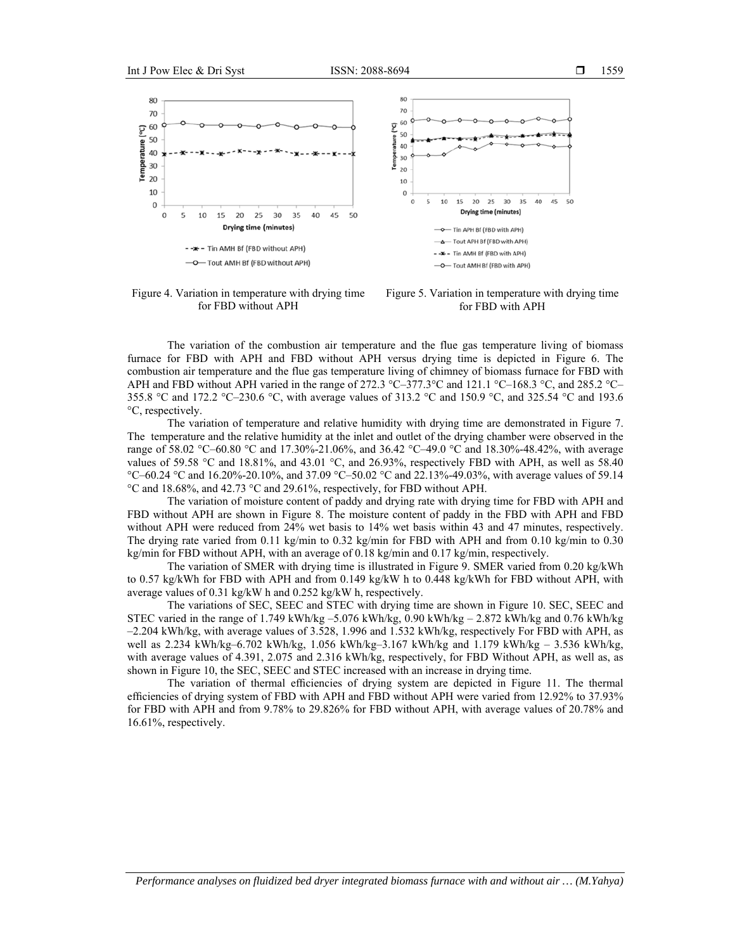

Figure 4. Variation in temperature with drying time for FBD without APH

Figure 5. Variation in temperature with drying time for FBD with APH

The variation of the combustion air temperature and the flue gas temperature living of biomass furnace for FBD with APH and FBD without APH versus drying time is depicted in Figure 6. The combustion air temperature and the flue gas temperature living of chimney of biomass furnace for FBD with APH and FBD without APH varied in the range of 272.3 °C–377.3 °C and 121.1 °C–168.3 °C, and 285.2 °C– 355.8 °C and 172.2 °C–230.6 °C, with average values of 313.2 °C and 150.9 °C, and 325.54 °C and 193.6 °C, respectively.

The variation of temperature and relative humidity with drying time are demonstrated in Figure 7. The temperature and the relative humidity at the inlet and outlet of the drying chamber were observed in the range of 58.02 °C–60.80 °C and 17.30%-21.06%, and 36.42 °C–49.0 °C and 18.30%-48.42%, with average values of 59.58 °C and 18.81%, and 43.01 °C, and 26.93%, respectively FBD with APH, as well as 58.40 °C–60.24 °C and 16.20%-20.10%, and 37.09 °C–50.02 °C and 22.13%-49.03%, with average values of 59.14 °C and 18.68%, and 42.73 °C and 29.61%, respectively, for FBD without APH.

The variation of moisture content of paddy and drying rate with drying time for FBD with APH and FBD without APH are shown in Figure 8. The moisture content of paddy in the FBD with APH and FBD without APH were reduced from 24% wet basis to 14% wet basis within 43 and 47 minutes, respectively. The drying rate varied from 0.11 kg/min to 0.32 kg/min for FBD with APH and from 0.10 kg/min to 0.30 kg/min for FBD without APH, with an average of 0.18 kg/min and 0.17 kg/min, respectively.

The variation of SMER with drying time is illustrated in Figure 9. SMER varied from 0.20 kg/kWh to 0.57 kg/kWh for FBD with APH and from 0.149 kg/kW h to 0.448 kg/kWh for FBD without APH, with average values of 0.31 kg/kW h and 0.252 kg/kW h, respectively.

The variations of SEC, SEEC and STEC with drying time are shown in Figure 10. SEC, SEEC and STEC varied in the range of 1.749 kWh/kg –5.076 kWh/kg, 0.90 kWh/kg – 2.872 kWh/kg and 0.76 kWh/kg –2.204 kWh/kg, with average values of 3.528, 1.996 and 1.532 kWh/kg, respectively For FBD with APH, as well as 2.234 kWh/kg–6.702 kWh/kg, 1.056 kWh/kg–3.167 kWh/kg and 1.179 kWh/kg – 3.536 kWh/kg, with average values of 4.391, 2.075 and 2.316 kWh/kg, respectively, for FBD Without APH, as well as, as shown in Figure 10, the SEC, SEEC and STEC increased with an increase in drying time.

The variation of thermal efficiencies of drying system are depicted in Figure 11. The thermal efficiencies of drying system of FBD with APH and FBD without APH were varied from 12.92% to 37.93% for FBD with APH and from 9.78% to 29.826% for FBD without APH, with average values of 20.78% and 16.61%, respectively.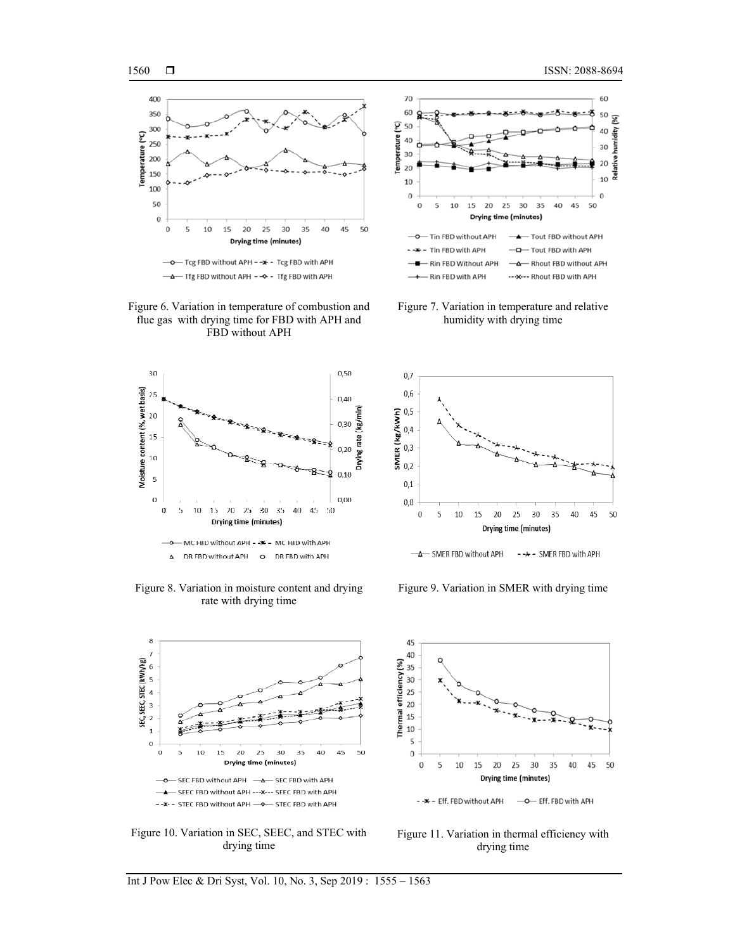

Figure 6. Variation in temperature of combustion and flue gas with drying time for FBD with APH and FBD without APH



Figure 8. Variation in moisture content and drying rate with drying time



Figure 10. Variation in SEC, SEEC, and STEC with drying time



Figure 7. Variation in temperature and relative humidity with drying time



Figure 9. Variation in SMER with drying time



Figure 11. Variation in thermal efficiency with drying time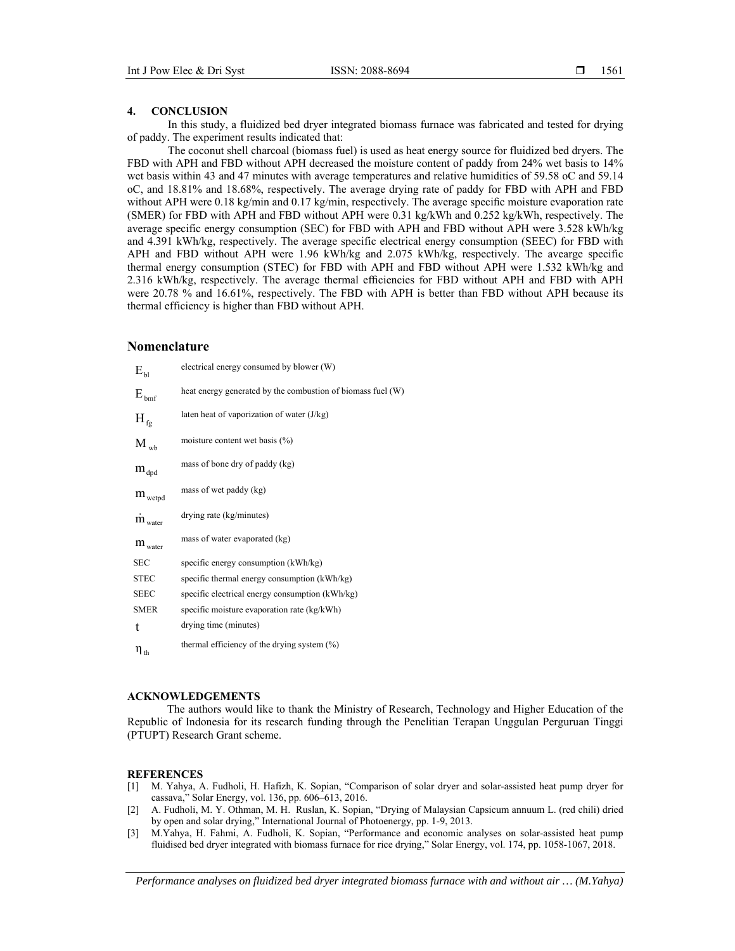## **4. CONCLUSION**

In this study, a fluidized bed dryer integrated biomass furnace was fabricated and tested for drying of paddy. The experiment results indicated that:

The coconut shell charcoal (biomass fuel) is used as heat energy source for fluidized bed dryers. The FBD with APH and FBD without APH decreased the moisture content of paddy from 24% wet basis to 14% wet basis within 43 and 47 minutes with average temperatures and relative humidities of 59.58 oC and 59.14 oC, and 18.81% and 18.68%, respectively. The average drying rate of paddy for FBD with APH and FBD without APH were 0.18 kg/min and 0.17 kg/min, respectively. The average specific moisture evaporation rate (SMER) for FBD with APH and FBD without APH were 0.31 kg/kWh and 0.252 kg/kWh, respectively. The average specific energy consumption (SEC) for FBD with APH and FBD without APH were 3.528 kWh/kg and 4.391 kWh/kg, respectively. The average specific electrical energy consumption (SEEC) for FBD with APH and FBD without APH were 1.96 kWh/kg and 2.075 kWh/kg, respectively. The avearge specific thermal energy consumption (STEC) for FBD with APH and FBD without APH were 1.532 kWh/kg and 2.316 kWh/kg, respectively. The average thermal efficiencies for FBD without APH and FBD with APH were 20.78 % and 16.61%, respectively. The FBD with APH is better than FBD without APH because its thermal efficiency is higher than FBD without APH.

# **Nomenclature**

| $E_{\rm bl}$               | electrical energy consumed by blower (W)                    |
|----------------------------|-------------------------------------------------------------|
| $\rm{E_{\,bmf}}$           | heat energy generated by the combustion of biomass fuel (W) |
| $H_{fg}$                   | laten heat of vaporization of water $(J/kg)$                |
| $M_{wb}$                   | moisture content wet basis $(\%)$                           |
| $\rm m_{\rm dpd}$          | mass of bone dry of paddy (kg)                              |
| $m_{\text{wetpd}}$         | mass of wet paddy (kg)                                      |
| $\dot{m}$ <sub>water</sub> | drying rate (kg/minutes)                                    |
| $m_{\text{water}}$         | mass of water evaporated (kg)                               |
| <b>SEC</b>                 | specific energy consumption (kWh/kg)                        |
| <b>STEC</b>                | specific thermal energy consumption (kWh/kg)                |
| <b>SEEC</b>                | specific electrical energy consumption (kWh/kg)             |
| <b>SMER</b>                | specific moisture evaporation rate (kg/kWh)                 |
| t                          | drying time (minutes)                                       |
| $\eta_{\,\rm th}$          | thermal efficiency of the drying system $(\%)$              |

## **ACKNOWLEDGEMENTS**

The authors would like to thank the Ministry of Research, Technology and Higher Education of the Republic of Indonesia for its research funding through the Penelitian Terapan Unggulan Perguruan Tinggi (PTUPT) Research Grant scheme.

## **REFERENCES**

- [1] M. Yahya, A. Fudholi, H. Hafizh, K. Sopian, "Comparison of solar dryer and solar-assisted heat pump dryer for cassava," Solar Energy, vol. 136, pp. 606–613, 2016.
- [2] A. Fudholi, M. Y. Othman, M. H. Ruslan, K. Sopian, "Drying of Malaysian Capsicum annuum L. (red chili) dried by open and solar drying," International Journal of Photoenergy, pp. 1-9, 2013.
- [3] M.Yahya, H. Fahmi, A. Fudholi, K. Sopian, "Performance and economic analyses on solar-assisted heat pump fluidised bed dryer integrated with biomass furnace for rice drying," Solar Energy, vol. 174, pp. 1058-1067, 2018.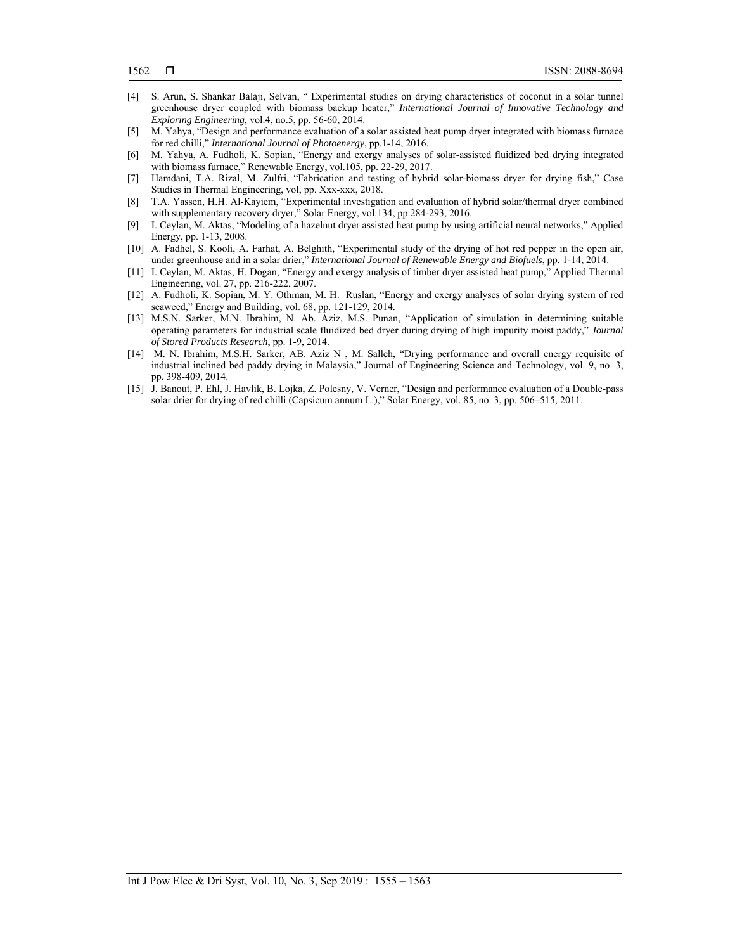- [4] S. Arun, S. Shankar Balaji, Selvan, " Experimental studies on drying characteristics of coconut in a solar tunnel greenhouse dryer coupled with biomass backup heater," *International Journal of Innovative Technology and Exploring Engineering*, vol.4, no.5, pp. 56-60, 2014.
- [5] M. Yahya, "Design and performance evaluation of a solar assisted heat pump dryer integrated with biomass furnace for red chilli," *International Journal of Photoenergy*, pp.1-14, 2016.
- [6] M. Yahya, A. Fudholi, K. Sopian, "Energy and exergy analyses of solar-assisted fluidized bed drying integrated with biomass furnace," Renewable Energy, vol.105, pp. 22-29, 2017.
- [7] Hamdani, T.A. Rizal, M. Zulfri, "Fabrication and testing of hybrid solar-biomass dryer for drying fish," Case Studies in Thermal Engineering, vol, pp. Xxx-xxx, 2018.
- [8] T.A. Yassen, H.H. Al-Kayiem, "Experimental investigation and evaluation of hybrid solar/thermal dryer combined with supplementary recovery dryer," Solar Energy, vol.134, pp.284-293, 2016.
- [9] I. Ceylan, M. Aktas, "Modeling of a hazelnut dryer assisted heat pump by using artificial neural networks," Applied Energy, pp. 1-13, 2008.
- [10] A. Fadhel, S. Kooli, A. Farhat, A. Belghith, "Experimental study of the drying of hot red pepper in the open air, under greenhouse and in a solar drier," *International Journal of Renewable Energy and Biofuels*, pp. 1-14, 2014.
- [11] I. Ceylan, M. Aktas, H. Dogan, "Energy and exergy analysis of timber dryer assisted heat pump," Applied Thermal Engineering, vol. 27, pp. 216-222, 2007.
- [12] A. Fudholi, K. Sopian, M. Y. Othman, M. H. Ruslan, "Energy and exergy analyses of solar drying system of red seaweed," Energy and Building, vol. 68, pp. 121-129, 2014.
- [13] M.S.N. Sarker, M.N. Ibrahim, N. Ab. Aziz, M.S. Punan, "Application of simulation in determining suitable operating parameters for industrial scale fluidized bed dryer during drying of high impurity moist paddy," *Journal of Stored Products Research*, pp. 1-9, 2014.
- [14] M. N. Ibrahim, M.S.H. Sarker, AB. Aziz N , M. Salleh, "Drying performance and overall energy requisite of industrial inclined bed paddy drying in Malaysia," Journal of Engineering Science and Technology, vol. 9, no. 3, pp. 398-409, 2014.
- [15] J. Banout, P. Ehl, J. Havlik, B. Lojka, Z. Polesny, V. Verner, "Design and performance evaluation of a Double-pass solar drier for drying of red chilli (Capsicum annum L.)," Solar Energy, vol. 85, no. 3, pp. 506–515, 2011.